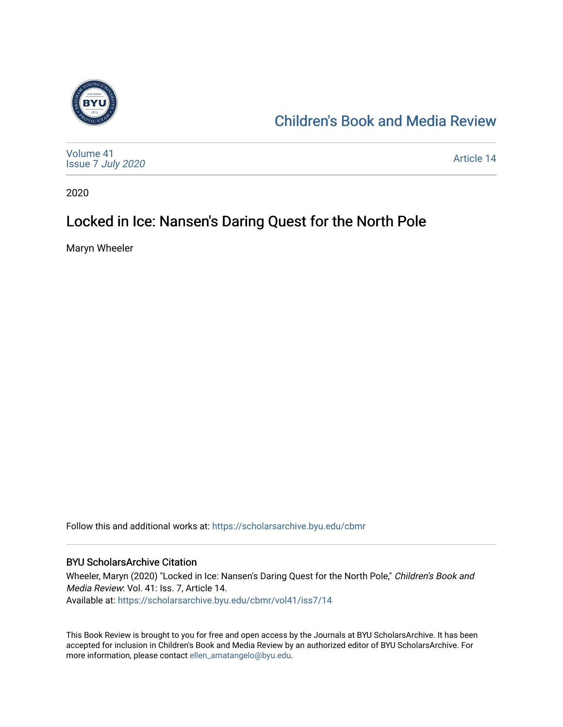

## [Children's Book and Media Review](https://scholarsarchive.byu.edu/cbmr)

| Volume 41<br>Issue 7 July 2020 | Article 14 |
|--------------------------------|------------|
|--------------------------------|------------|

2020

## Locked in Ice: Nansen's Daring Quest for the North Pole

Maryn Wheeler

Follow this and additional works at: [https://scholarsarchive.byu.edu/cbmr](https://scholarsarchive.byu.edu/cbmr?utm_source=scholarsarchive.byu.edu%2Fcbmr%2Fvol41%2Fiss7%2F14&utm_medium=PDF&utm_campaign=PDFCoverPages) 

#### BYU ScholarsArchive Citation

Wheeler, Maryn (2020) "Locked in Ice: Nansen's Daring Quest for the North Pole," Children's Book and Media Review: Vol. 41: Iss. 7, Article 14. Available at: [https://scholarsarchive.byu.edu/cbmr/vol41/iss7/14](https://scholarsarchive.byu.edu/cbmr/vol41/iss7/14?utm_source=scholarsarchive.byu.edu%2Fcbmr%2Fvol41%2Fiss7%2F14&utm_medium=PDF&utm_campaign=PDFCoverPages)

This Book Review is brought to you for free and open access by the Journals at BYU ScholarsArchive. It has been accepted for inclusion in Children's Book and Media Review by an authorized editor of BYU ScholarsArchive. For more information, please contact [ellen\\_amatangelo@byu.edu.](mailto:ellen_amatangelo@byu.edu)